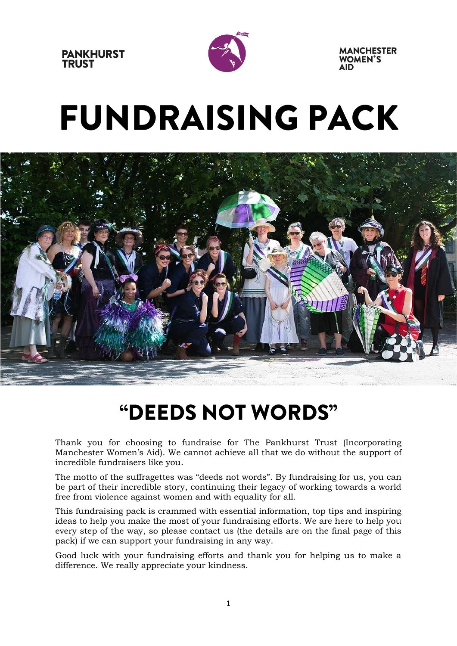



# **FUNDRAISING PACK**



### "DEEDS NOT WORDS"

Thank you for choosing to fundraise for The Pankhurst Trust (Incorporating Manchester Women's Aid). We cannot achieve all that we do without the support of incredible fundraisers like you.

The motto of the suffragettes was "deeds not words". By fundraising for us, you can be part of their incredible story, continuing their legacy of working towards a world free from violence against women and with equality for all.

This fundraising pack is crammed with essential information, top tips and inspiring ideas to help you make the most of your fundraising efforts. We are here to help you every step of the way, so please contact us (the details are on the final page of this pack) if we can support your fundraising in any way.

Good luck with your fundraising efforts and thank you for helping us to make a difference. We really appreciate your kindness.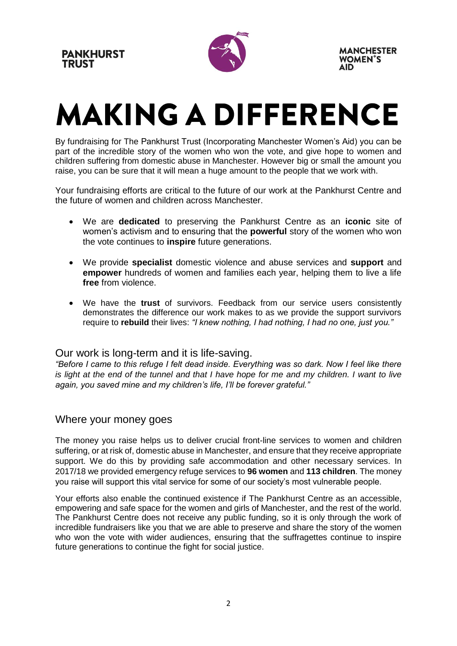

## **MAKING A DIFFERENCE**

By fundraising for The Pankhurst Trust (Incorporating Manchester Women's Aid) you can be part of the incredible story of the women who won the vote, and give hope to women and children suffering from domestic abuse in Manchester. However big or small the amount you raise, you can be sure that it will mean a huge amount to the people that we work with.

Your fundraising efforts are critical to the future of our work at the Pankhurst Centre and the future of women and children across Manchester.

- We are **dedicated** to preserving the Pankhurst Centre as an **iconic** site of women's activism and to ensuring that the **powerful** story of the women who won the vote continues to **inspire** future generations.
- We provide **specialist** domestic violence and abuse services and **support** and **empower** hundreds of women and families each year, helping them to live a life **free** from violence.
- We have the **trust** of survivors. Feedback from our service users consistently demonstrates the difference our work makes to as we provide the support survivors require to **rebuild** their lives: *"I knew nothing, I had nothing, I had no one, just you."*

#### Our work is long-term and it is life-saving.

*"Before I came to this refuge I felt dead inside. Everything was so dark. Now I feel like there is light at the end of the tunnel and that I have hope for me and my children. I want to live again, you saved mine and my children's life, I'll be forever grateful."*

#### Where your money goes

The money you raise helps us to deliver crucial front-line services to women and children suffering, or at risk of, domestic abuse in Manchester, and ensure that they receive appropriate support. We do this by providing safe accommodation and other necessary services. In 2017/18 we provided emergency refuge services to **96 women** and **113 children**. The money you raise will support this vital service for some of our society's most vulnerable people.

Your efforts also enable the continued existence if The Pankhurst Centre as an accessible, empowering and safe space for the women and girls of Manchester, and the rest of the world. The Pankhurst Centre does not receive any public funding, so it is only through the work of incredible fundraisers like you that we are able to preserve and share the story of the women who won the vote with wider audiences, ensuring that the suffragettes continue to inspire future generations to continue the fight for social justice.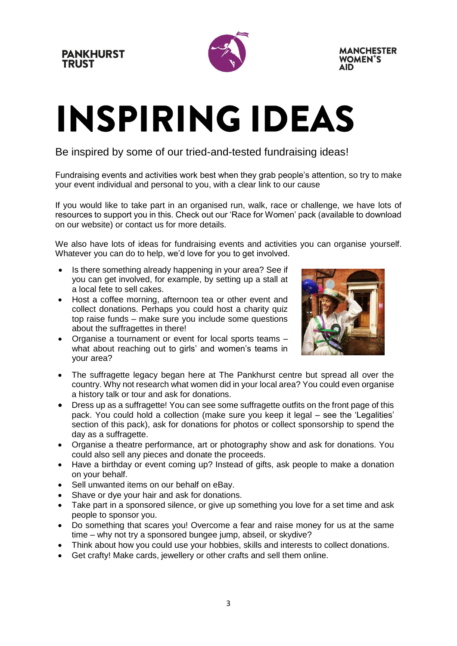

# **INSPIRING IDEAS**

Be inspired by some of our tried-and-tested fundraising ideas!

Fundraising events and activities work best when they grab people's attention, so try to make your event individual and personal to you, with a clear link to our cause

If you would like to take part in an organised run, walk, race or challenge, we have lots of resources to support you in this. Check out our 'Race for Women' pack (available to download on our website) or contact us for more details.

We also have lots of ideas for fundraising events and activities you can organise yourself. Whatever you can do to help, we'd love for you to get involved.

- Is there something already happening in your area? See if you can get involved, for example, by setting up a stall at a local fete to sell cakes.
- Host a coffee morning, afternoon tea or other event and collect donations. Perhaps you could host a charity quiz top raise funds – make sure you include some questions about the suffragettes in there!
- Organise a tournament or event for local sports teams what about reaching out to girls' and women's teams in your area?



- The suffragette legacy began here at The Pankhurst centre but spread all over the country. Why not research what women did in your local area? You could even organise a history talk or tour and ask for donations.
- Dress up as a suffragette! You can see some suffragette outfits on the front page of this pack. You could hold a collection (make sure you keep it legal – see the 'Legalities' section of this pack), ask for donations for photos or collect sponsorship to spend the day as a suffragette.
- Organise a theatre performance, art or photography show and ask for donations. You could also sell any pieces and donate the proceeds.
- Have a birthday or event coming up? Instead of gifts, ask people to make a donation on your behalf.
- Sell unwanted items on our behalf on eBay.
- Shave or dye your hair and ask for donations.
- Take part in a sponsored silence, or give up something you love for a set time and ask people to sponsor you.
- Do something that scares you! Overcome a fear and raise money for us at the same time – why not try a sponsored bungee jump, abseil, or skydive?
- Think about how you could use your hobbies, skills and interests to collect donations.
- Get crafty! Make cards, jewellery or other crafts and sell them online.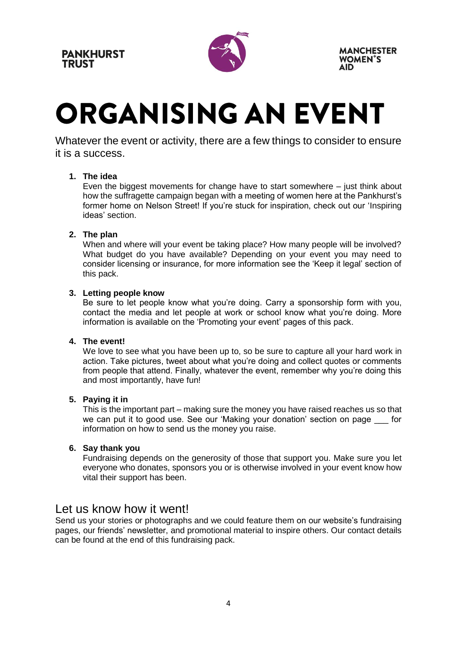**PANKHURST TRUST** 



**MANCHESTER WOMEN'S** 

### **ORGANISING AN EVENT**

Whatever the event or activity, there are a few things to consider to ensure it is a success.

#### **1. The idea**

Even the biggest movements for change have to start somewhere – just think about how the suffragette campaign began with a meeting of women here at the Pankhurst's former home on Nelson Street! If you're stuck for inspiration, check out our 'Inspiring ideas' section.

#### **2. The plan**

When and where will your event be taking place? How many people will be involved? What budget do you have available? Depending on your event you may need to consider licensing or insurance, for more information see the 'Keep it legal' section of this pack.

#### **3. Letting people know**

Be sure to let people know what you're doing. Carry a sponsorship form with you, contact the media and let people at work or school know what you're doing. More information is available on the 'Promoting your event' pages of this pack.

#### **4. The event!**

We love to see what you have been up to, so be sure to capture all your hard work in action. Take pictures, tweet about what you're doing and collect quotes or comments from people that attend. Finally, whatever the event, remember why you're doing this and most importantly, have fun!

#### **5. Paying it in**

This is the important part – making sure the money you have raised reaches us so that we can put it to good use. See our 'Making your donation' section on page for information on how to send us the money you raise.

#### **6. Say thank you**

Fundraising depends on the generosity of those that support you. Make sure you let everyone who donates, sponsors you or is otherwise involved in your event know how vital their support has been.

#### Let us know how it went!

Send us your stories or photographs and we could feature them on our website's fundraising pages, our friends' newsletter, and promotional material to inspire others. Our contact details can be found at the end of this fundraising pack.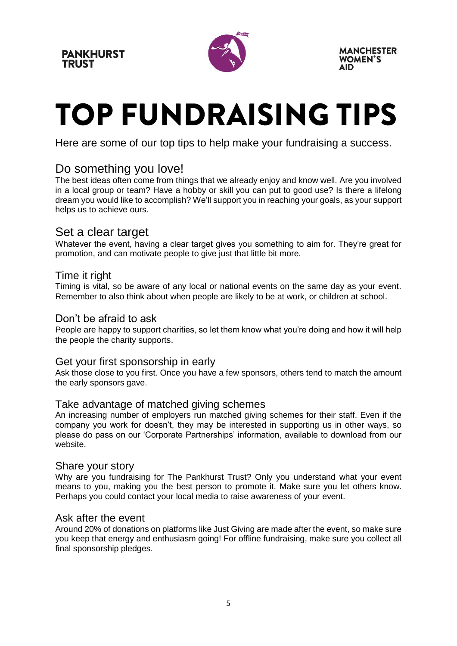

## **TOP FUNDRAISING TIPS**

Here are some of our top tips to help make your fundraising a success.

#### Do something you love!

The best ideas often come from things that we already enjoy and know well. Are you involved in a local group or team? Have a hobby or skill you can put to good use? Is there a lifelong dream you would like to accomplish? We'll support you in reaching your goals, as your support helps us to achieve ours.

#### Set a clear target

Whatever the event, having a clear target gives you something to aim for. They're great for promotion, and can motivate people to give just that little bit more.

#### Time it right

Timing is vital, so be aware of any local or national events on the same day as your event. Remember to also think about when people are likely to be at work, or children at school.

#### Don't be afraid to ask

People are happy to support charities, so let them know what you're doing and how it will help the people the charity supports.

#### Get your first sponsorship in early

Ask those close to you first. Once you have a few sponsors, others tend to match the amount the early sponsors gave.

#### Take advantage of matched giving schemes

An increasing number of employers run matched giving schemes for their staff. Even if the company you work for doesn't, they may be interested in supporting us in other ways, so please do pass on our 'Corporate Partnerships' information, available to download from our website.

#### Share your story

Why are you fundraising for The Pankhurst Trust? Only you understand what your event means to you, making you the best person to promote it. Make sure you let others know. Perhaps you could contact your local media to raise awareness of your event.

#### Ask after the event

Around 20% of donations on platforms like Just Giving are made after the event, so make sure you keep that energy and enthusiasm going! For offline fundraising, make sure you collect all final sponsorship pledges.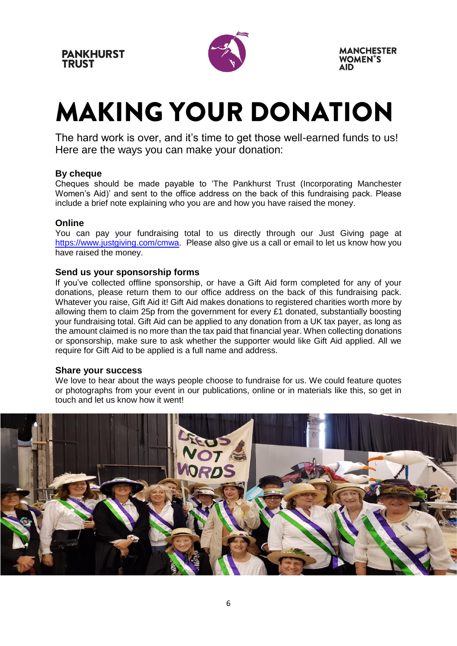

### **MAKING YOUR DONATION**

The hard work is over, and it's time to get those well-earned funds to us! Here are the ways you can make your donation:

#### **By cheque**

Cheques should be made payable to 'The Pankhurst Trust (Incorporating Manchester Women's Aid)' and sent to the office address on the back of this fundraising pack. Please include a brief note explaining who you are and how you have raised the money.

#### **Online**

You can pay your fundraising total to us directly through our Just Giving page at [https://www.justgiving.com/cmwa.](https://www.justgiving.com/cmwa) Please also give us a call or email to let us know how you have raised the money.

#### **Send us your sponsorship forms**

If you've collected offline sponsorship, or have a Gift Aid form completed for any of your donations, please return them to our office address on the back of this fundraising pack. Whatever you raise, Gift Aid it! Gift Aid makes donations to registered charities worth more by allowing them to claim 25p from the government for every £1 donated, substantially boosting your fundraising total. Gift Aid can be applied to any donation from a UK tax payer, as long as the amount claimed is no more than the tax paid that financial year. When collecting donations or sponsorship, make sure to ask whether the supporter would like Gift Aid applied. All we require for Gift Aid to be applied is a full name and address.

#### **Share your success**

We love to hear about the ways people choose to fundraise for us. We could feature quotes or photographs from your event in our publications, online or in materials like this, so get in touch and let us know how it went!

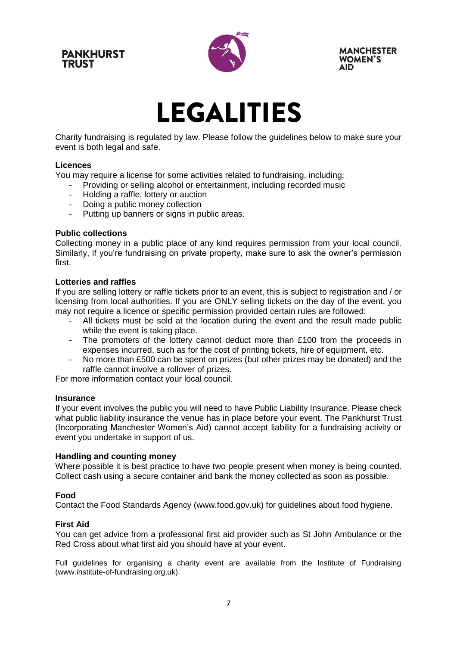**PANKHURST TRUST** 



**MANCHESTER WOMEN'S** 

### **LEGALITIES**

Charity fundraising is regulated by law. Please follow the guidelines below to make sure your event is both legal and safe.

#### **Licences**

You may require a license for some activities related to fundraising, including:

- Providing or selling alcohol or entertainment, including recorded music
	- Holding a raffle, lottery or auction
- Doing a public money collection
- Putting up banners or signs in public areas.

#### **Public collections**

Collecting money in a public place of any kind requires permission from your local council. Similarly, if you're fundraising on private property, make sure to ask the owner's permission first.

#### **Lotteries and raffles**

If you are selling lottery or raffle tickets prior to an event, this is subject to registration and / or licensing from local authorities. If you are ONLY selling tickets on the day of the event, you may not require a licence or specific permission provided certain rules are followed:

- All tickets must be sold at the location during the event and the result made public while the event is taking place.
- The promoters of the lottery cannot deduct more than £100 from the proceeds in expenses incurred, such as for the cost of printing tickets, hire of equipment, etc.
- No more than £500 can be spent on prizes (but other prizes may be donated) and the raffle cannot involve a rollover of prizes.

For more information contact your local council.

#### **Insurance**

If your event involves the public you will need to have Public Liability Insurance. Please check what public liability insurance the venue has in place before your event. The Pankhurst Trust (Incorporating Manchester Women's Aid) cannot accept liability for a fundraising activity or event you undertake in support of us.

#### **Handling and counting money**

Where possible it is best practice to have two people present when money is being counted. Collect cash using a secure container and bank the money collected as soon as possible.

#### **Food**

Contact the Food Standards Agency (www.food.gov.uk) for guidelines about food hygiene.

#### **First Aid**

You can get advice from a professional first aid provider such as St John Ambulance or the Red Cross about what first aid you should have at your event.

Full guidelines for organising a charity event are available from the Institute of Fundraising (www.institute-of-fundraising.org.uk).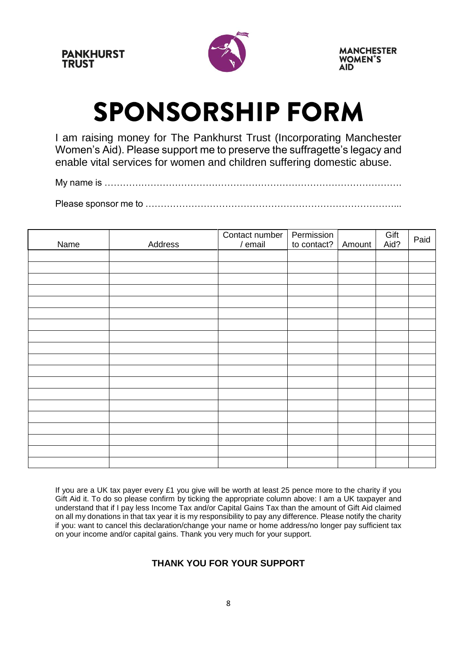

### **SPONSORSHIP FORM**

I am raising money for The Pankhurst Trust (Incorporating Manchester Women's Aid). Please support me to preserve the suffragette's legacy and enable vital services for women and children suffering domestic abuse.

My name is …………………………………………………………………………………….

Please sponsor me to ………………………………………………………………………...

| Name | Address | Contact number<br>/ email | Permission<br>to contact? | Amount | Gift<br>Aid? | Paid |
|------|---------|---------------------------|---------------------------|--------|--------------|------|
|      |         |                           |                           |        |              |      |
|      |         |                           |                           |        |              |      |
|      |         |                           |                           |        |              |      |
|      |         |                           |                           |        |              |      |
|      |         |                           |                           |        |              |      |
|      |         |                           |                           |        |              |      |
|      |         |                           |                           |        |              |      |
|      |         |                           |                           |        |              |      |
|      |         |                           |                           |        |              |      |
|      |         |                           |                           |        |              |      |
|      |         |                           |                           |        |              |      |
|      |         |                           |                           |        |              |      |
|      |         |                           |                           |        |              |      |
|      |         |                           |                           |        |              |      |
|      |         |                           |                           |        |              |      |
|      |         |                           |                           |        |              |      |
|      |         |                           |                           |        |              |      |
|      |         |                           |                           |        |              |      |
|      |         |                           |                           |        |              |      |

If you are a UK tax payer every £1 you give will be worth at least 25 pence more to the charity if you Gift Aid it. To do so please confirm by ticking the appropriate column above: I am a UK taxpayer and understand that if I pay less Income Tax and/or Capital Gains Tax than the amount of Gift Aid claimed on all my donations in that tax year it is my responsibility to pay any difference. Please notify the charity if you: want to cancel this declaration/change your name or home address/no longer pay sufficient tax on your income and/or capital gains. Thank you very much for your support.

#### **THANK YOU FOR YOUR SUPPORT**